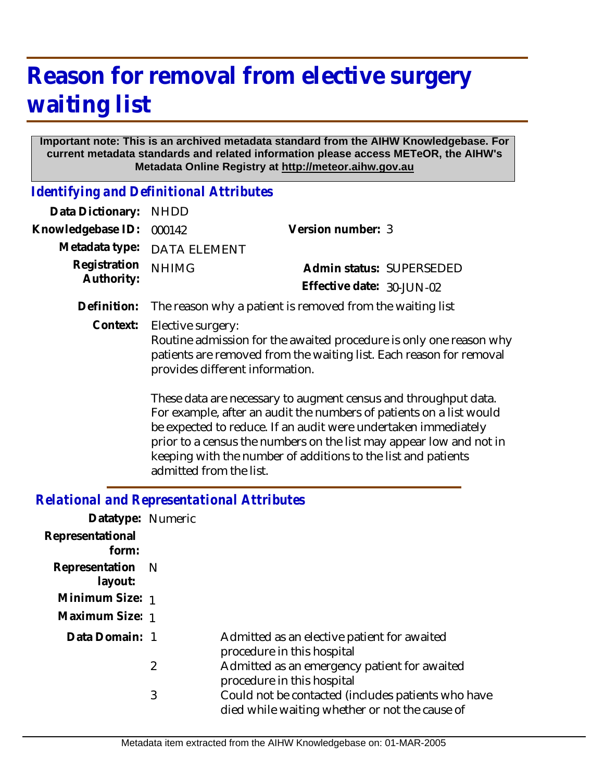## **Reason for removal from elective surgery waiting list**

## **Important note: This is an archived metadata standard from the AIHW Knowledgebase. For current metadata standards and related information please access METeOR, the AIHW's Metadata Online Registry at http://meteor.aihw.gov.au**

*Identifying and Definitional Attributes*

| Data Dictionary:           | <b>NHDD</b>                                                                                                                                                                                       |                                                                                                                                                                                                                                                                                                                                                  |  |
|----------------------------|---------------------------------------------------------------------------------------------------------------------------------------------------------------------------------------------------|--------------------------------------------------------------------------------------------------------------------------------------------------------------------------------------------------------------------------------------------------------------------------------------------------------------------------------------------------|--|
| Knowledgebase ID:          | 000142                                                                                                                                                                                            | Version number: 3                                                                                                                                                                                                                                                                                                                                |  |
| Metadata type:             | <b>DATA ELEMENT</b>                                                                                                                                                                               |                                                                                                                                                                                                                                                                                                                                                  |  |
| Registration<br>Authority: | <b>NHIMG</b>                                                                                                                                                                                      | Admin status: SUPERSEDED                                                                                                                                                                                                                                                                                                                         |  |
|                            |                                                                                                                                                                                                   | Effective date: 30-JUN-02                                                                                                                                                                                                                                                                                                                        |  |
| Definition:                | The reason why a patient is removed from the waiting list                                                                                                                                         |                                                                                                                                                                                                                                                                                                                                                  |  |
| Context:                   | Elective surgery:<br>Routine admission for the awaited procedure is only one reason why<br>patients are removed from the waiting list. Each reason for removal<br>provides different information. |                                                                                                                                                                                                                                                                                                                                                  |  |
|                            |                                                                                                                                                                                                   | These data are necessary to augment census and throughput data.<br>For example, after an audit the numbers of patients on a list would<br>be expected to reduce. If an audit were undertaken immediately<br>prior to a census the numbers on the list may appear low and not in<br>keeping with the number of additions to the list and patients |  |

## *Relational and Representational Attributes*

admitted from the list.

| Datatype: Numeric           |                |                                                                                                      |
|-----------------------------|----------------|------------------------------------------------------------------------------------------------------|
| Representational<br>form:   |                |                                                                                                      |
| Representation N<br>layout: |                |                                                                                                      |
| Minimum Size: 1             |                |                                                                                                      |
| Maximum Size: 1             |                |                                                                                                      |
| Data Domain: 1              |                | Admitted as an elective patient for awaited<br>procedure in this hospital                            |
|                             | $\overline{2}$ | Admitted as an emergency patient for awaited<br>procedure in this hospital                           |
|                             | 3              | Could not be contacted (includes patients who have<br>died while waiting whether or not the cause of |
|                             |                |                                                                                                      |